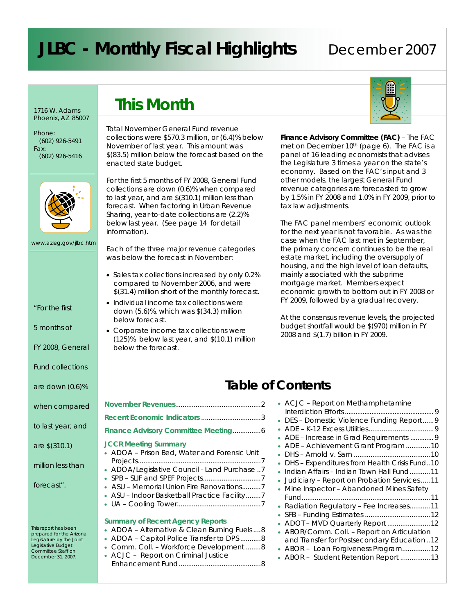# **JLBC - Monthly Fiscal Highlights** December 2007

1716 W. Adams Phoenix, AZ 85007

Phone: (602) 926-5491 Fax: (602) 926-5416



www.azleg.gov/jlbc.htm

*"For the first* 

*5 months of* 

*FY 2008, General* 

*Fund collections* 

*are down (0.6)%* 

*to last year, and* 

*are \$(310.1)* 

*forecast".* 

*million less than* 

This report has been prepared for the Arizona Legislature by the Joint Legislative Budget Committee Staff on December 31, 2007.

### **This Month**

Total November General Fund revenue collections were \$570.3 million, or (6.4)% below November of last year. This amount was \$(83.5) million below the forecast based on the enacted state budget.

For the first 5 months of FY 2008, General Fund collections are down (0.6)% when compared to last year, and are \$(310.1) million less than forecast. When factoring in Urban Revenue Sharing, year-to-date collections are (2.2)% below last year. *(See page 14 for detail information).*

Each of the three major revenue categories was below the forecast in November:

- Sales tax collections increased by only 0.2% compared to November 2006, and were \$(31.4) million short of the monthly forecast.
- Individual income tax collections were down (5.6)%, which was \$(34.3) million below forecast.
- Corporate income tax collections were (125)% below last year, and \$(10.1) million below the forecast.



**Finance Advisory Committee (FAC)** – The FAC met on December 10th (*page 6*). The FAC is a panel of 16 leading economists that advises the Legislature 3 times a year on the state's economy. Based on the FAC's input and 3 other models, the largest General Fund revenue categories are forecasted to grow by 1.5% in FY 2008 and 1.0% in FY 2009, prior to tax law adjustments.

The FAC panel members' economic outlook for the next year is not favorable. As was the case when the FAC last met in September, the primary concern continues to be the real estate market, including the oversupply of housing, and the high level of loan defaults, mainly associated with the subprime mortgage market. Members expect economic growth to bottom out in FY 2008 or FY 2009, followed by a gradual recovery.

At the consensus revenue levels, the projected budget shortfall would be \$(970) million in FY 2008 and \$(1.7) billion in FY 2009.

|                                                 | <b>Table of Contents</b>                                                                     |
|-------------------------------------------------|----------------------------------------------------------------------------------------------|
|                                                 | • ACJC – Report on Methamphetamine                                                           |
|                                                 | • DES - Domestic Violence Funding Report 9                                                   |
| nmittee Meeting6                                |                                                                                              |
| ıry                                             | • ADE - Increase in Grad Requirements  9<br>• ADE - Achievement Grant Program 10             |
| Water and Forensic Unit                         |                                                                                              |
| ouncil - Land Purchase 7                        | • DHS - Expenditures from Health Crisis Fund10<br>• Indian Affairs – Indian Town Hall Fund11 |
|                                                 | • Judiciary – Report on Probation Services11                                                 |
| on Fire Renovations7<br>ball Practice Facility7 | • Mine Inspector - Abandoned Mines Safety                                                    |
|                                                 | • Radiation Regulatory - Fee Increases11                                                     |
| gency Reports                                   | • ADOT - MVD Quarterly Report  12                                                            |
| & Clean Burning Fuels 8                         | • ABOR/Comm. Coll. - Report on Articulation                                                  |
| ce Transfer to DPS8<br>force Development 8      | and Transfer for Postsecondary Education12<br>• ABOR - Loan Forgiveness Program 12           |
| Criminal Justice<br>8                           | • ABOR - Student Retention Report 13                                                         |

**November Revenues** *when compared* 

**Recent Economic Indie Finance Advisory Com** 

#### **JCCR Meeting Summa**

- $\bullet$  ADOA Prison Bed, Projects........................ • ADOA/Legislative Co
- $\bullet$  SPB SLIF and SPEF P
- $\bullet$  ASU Memorial Unic
- ASU Indoor Basketk
- $\bullet$  UA Cooling Tower.

#### **Summary of Recent Agency**

| • ADOA – Alternative & Clean Burning Fuels 8 |
|----------------------------------------------|
| • ADOA - Capitol Police Transfer to DPS8     |
| • Comm. Coll. - Workforce Development 8      |
| • ACJC - Report on Criminal Justice          |
|                                              |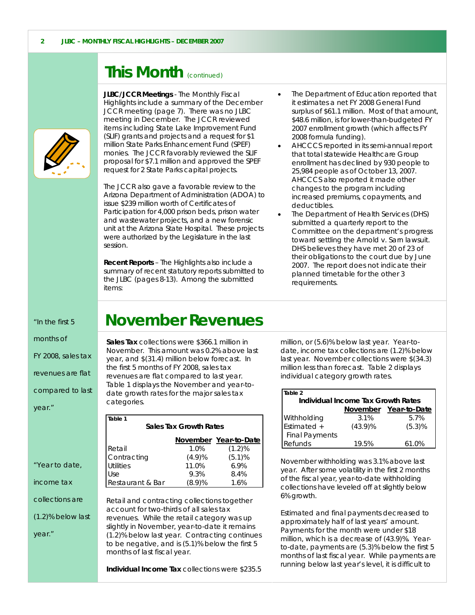### **This Month** (continued)



**JLBC/JCCR Meetings** - The Monthly Fiscal Highlights include a summary of the December JCCR meeting *(page 7)*. There was no JLBC meeting in December. The JCCR reviewed items including State Lake Improvement Fund (SLIF) grants and projects and a request for \$1 million State Parks Enhancement Fund (SPEF) monies. The JCCR favorably reviewed the SLIF proposal for \$7.1 million and approved the SPEF request for 2 State Parks capital projects.

The JCCR also gave a favorable review to the Arizona Department of Administration (ADOA) to issue \$239 million worth of Certificates of Participation for 4,000 prison beds, prison water and wastewater projects, and a new forensic unit at the Arizona State Hospital. These projects were authorized by the Legislature in the last session.

**Recent Reports** – The Highlights also include a summary of recent statutory reports submitted to the JLBC (*pages 8-13*). Among the submitted items:

- The Department of Education reported that it estimates a net FY 2008 General Fund surplus of \$61.1 million. Most of that amount, \$48.6 million, is for lower-than-budgeted FY 2007 enrollment growth (which affects FY 2008 formula funding).
- AHCCCS reported in its semi-annual report that total statewide Healthcare Group enrollment has declined by 930 people to 25,984 people as of October 13, 2007. AHCCCS also reported it made other changes to the program including increased premiums, copayments, and deductibles.
- The Department of Health Services (DHS) submitted a quarterly report to the Committee on the department's progress toward settling the *Arnold v. Sarn* lawsuit. DHS believes they have met 20 of 23 of their obligations to the court due by June 2007. The report does not indicate their planned timetable for the other 3 requirements.

#### *"In the first 5*

*months of* 

*FY 2008, sales tax* 

*revenues are flat* 

*compared to last* 

*"Year to date,* 

*collections are* 

*(1.2)% below last* 

*income tax* 

*year*."

*year."* 

### **November Revenues**

**Sales Tax** collections were \$366.1 million in November. This amount was 0.2% above last year, and \$(31.4) million below forecast. In the first 5 months of FY 2008, sales tax revenues are flat compared to last year. *Table 1* displays the November and year-todate growth rates for the major sales tax categories.

| Table 1<br><b>Sales Tax Growth Rates</b> |        |           |  |  |  |  |
|------------------------------------------|--------|-----------|--|--|--|--|
| November Year-to-Date                    |        |           |  |  |  |  |
| Retail                                   | 1.0%   | $(1.2)\%$ |  |  |  |  |
| Contracting                              | (4.9)% | (5.1)%    |  |  |  |  |
| <b>Utilities</b>                         | 11.0%  | 6.9%      |  |  |  |  |
| Use                                      | 9.3%   | 8.4%      |  |  |  |  |
| Restaurant & Bar                         | (8.9)% | 1.6%      |  |  |  |  |

Retail and contracting collections together account for two-thirds of all sales tax revenues. While the retail category was up slightly in November, year-to-date it remains (1.2)% below last year. Contracting continues to be negative, and is (5.1)% below the first 5 months of last fiscal year.

**Individual Income Tax** collections were \$235.5

million, or (5.6)% below last year. Year-todate, income tax collections are (1.2)% below last year. November collections were \$(34.3) million less than forecast. *Table 2* displays individual category growth rates.

| Table 2                            |            |                       |  |  |  |  |
|------------------------------------|------------|-----------------------|--|--|--|--|
| Individual Income Tax Growth Rates |            |                       |  |  |  |  |
|                                    |            | November Year-to-Date |  |  |  |  |
| Withholding                        | 3.1%       | 5.7%                  |  |  |  |  |
| Estimated +                        | $(43.9)\%$ | (5.3)%                |  |  |  |  |
| <b>Final Payments</b>              |            |                       |  |  |  |  |
| Refunds                            | 19.5%      | 61.0%                 |  |  |  |  |

November withholding was 3.1% above last year. After some volatility in the first 2 months of the fiscal year, year-to-date withholding collections have leveled off at slightly below 6% growth.

Estimated and final payments decreased to approximately half of last years' amount. Payments for the month were under \$18 million, which is a decrease of (43.9)%. Yearto-date, payments are (5.3)% below the first 5 months of last fiscal year. While payments are running below last year's level, it is difficult to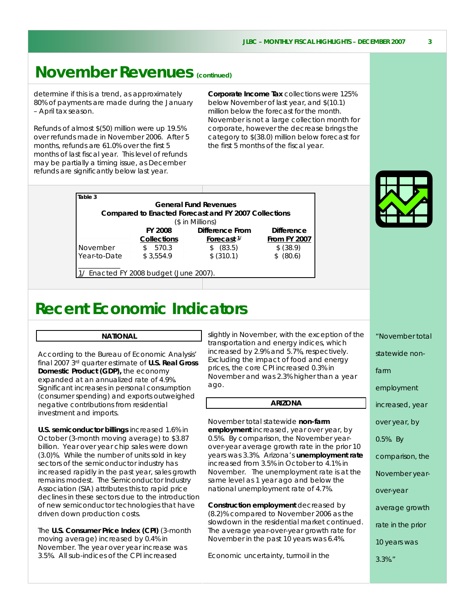### **November Revenues (continued)**

determine if this is a trend, as approximately 80% of payments are made during the January – April tax season.

Refunds of almost \$(50) million were up 19.5% over refunds made in November 2006. After 5 months, refunds are 61.0% over the first 5 months of last fiscal year. This level of refunds may be partially a timing issue, as December refunds are significantly below last year.

**Corporate Income Tax** collections were 125% below November of last year, and \$(10.1) million below the forecast for the month. November is not a large collection month for corporate, however the decrease brings the category to \$(38.0) million below forecast for the first 5 months of the fiscal year.

| Table 3      |                                        | <b>General Fund Revenues</b>                         |                     |
|--------------|----------------------------------------|------------------------------------------------------|---------------------|
|              |                                        | Compared to Enacted Forecast and FY 2007 Collections |                     |
|              |                                        | (\$ in Millions)                                     |                     |
|              | <b>FY 2008</b>                         | Difference From                                      | <b>Difference</b>   |
|              | <b>Collections</b>                     | Forecast <sup>1/</sup>                               | <b>From FY 2007</b> |
| November     | 570.3<br>\$                            | \$ (83.5)                                            | \$ (38.9)           |
| Year-to-Date | \$3.554.9                              | \$ (310.1)                                           | (80.6)              |
|              |                                        |                                                      |                     |
|              | 1/ Enacted FY 2008 budget (June 2007). |                                                      |                     |

### **Recent Economic Indicators**

#### **NATIONAL**

According to the Bureau of Economic Analysis' final 2007 3rd quarter estimate of **U.S. Real Gross Domestic Product (GDP),** the economy expanded at an annualized rate of 4.9%. Significant increases in personal consumption (consumer spending) and exports outweighed negative contributions from residential investment and imports.

**U.S. semiconductor billings** increased 1.6% in October (3-month moving average) to \$3.87 billion. Year over year chip sales were down (3.0)%. While the number of units sold in key sectors of the semiconductor industry has increased rapidly in the past year, sales growth remains modest. The Semiconductor Industry Association (SIA) attributes this to rapid price declines in these sectors due to the introduction of new semiconductor technologies that have driven down production costs.

The **U.S. Consumer Price Index (CPI)** (3-month moving average) increased by 0.4% in November. The year over year increase was 3.5%. All sub-indices of the CPI increased

slightly in November, with the exception of the transportation and energy indices, which increased by 2.9% and 5.7%, respectively. Excluding the impact of food and energy prices, the core CPI increased 0.3% in November and was 2.3% higher than a year ago.

#### **ARIZONA**

November total statewide **non-farm employment** increased, year over year, by 0.5%. By comparison, the November yearover-year average growth rate in the prior 10 years was 3.3%. Arizona's **unemployment rate** increased from 3.5% in October to 4.1% in November. The unemployment rate is at the same level as 1 year ago and below the national unemployment rate of 4.7%.

**Construction employment** decreased by (8.2)% compared to November 2006 as the slowdown in the residential market continued. The average year-over-year growth rate for November in the past 10 years was 6.4%.

Economic uncertainty, turmoil in the



*"November total statewide nonfarm employment increased, year over year, by 0.5%. By comparison, the November yearover-year average growth rate in the prior 10 years was 3.3%."*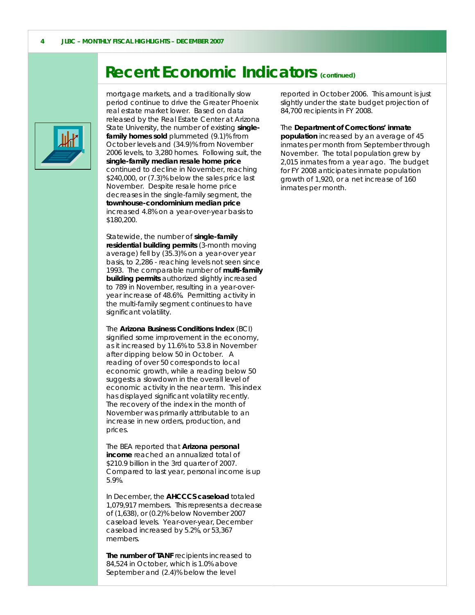### **Recent Economic Indicators (continued)**



 mortgage markets, and a traditionally slow period continue to drive the Greater Phoenix real estate market lower. Based on data released by the Real Estate Center at Arizona State University, the number of existing **singlefamily homes sold** plummeted (9.1)% from October levels and (34.9)% from November 2006 levels, to 3,280 homes. Following suit, the **single-family median resale home price** continued to decline in November, reaching \$240,000, or (7.3)% below the sales price last November. Despite resale home price decreases in the single-family segment, the **townhouse-condominium median price** increased 4.8% on a year-over-year basis to \$180,200.

Statewide, the number of **single-family residential building permits** (3-month moving average) fell by (35.3)% on a year-over year basis, to 2,286 - reaching levels not seen since 1993. The comparable number of **multi-family building permits** authorized slightly increased to 789 in November, resulting in a year-overyear increase of 48.6%. Permitting activity in the multi-family segment continues to have significant volatility.

The **Arizona Business Conditions Index** (BCI) signified some improvement in the economy, as it increased by 11.6% to 53.8 in November after dipping below 50 in October. A reading of over 50 corresponds to local economic growth, while a reading below 50 suggests a slowdown in the overall level of economic activity in the near term. This index has displayed significant volatility recently. The recovery of the index in the month of November was primarily attributable to an increase in new orders, production, and prices.

The BEA reported that **Arizona personal income** reached an annualized total of \$210.9 billion in the 3rd quarter of 2007. Compared to last year, personal income is up 5.9%.

In December, the **AHCCCS caseload** totaled 1,079,917 members. This represents a decrease of (1,638), or (0.2)% below November 2007 caseload levels. Year-over-year, December caseload increased by 5.2%, or 53,367 members.

**The number of TANF** recipients increased to 84,524 in October, which is 1.0% above September and (2.4)% below the level

reported in October 2006. This amount is just slightly under the state budget projection of 84,700 recipients in FY 2008.

The **Department of Corrections' inmate population** increased by an average of 45 inmates per month from September through November. The total population grew by 2,015 inmates from a year ago. The budget for FY 2008 anticipates inmate population growth of 1,920, or a net increase of 160 inmates per month.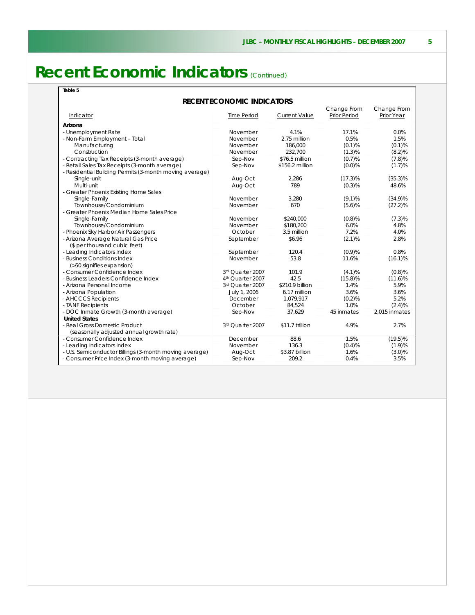## **Recent Economic Indicators** (Continued)

|--|--|--|--|--|

#### **RECENT ECONOMIC INDICATORS**

|                                                         |                    |                      | Change From  | Change From   |
|---------------------------------------------------------|--------------------|----------------------|--------------|---------------|
| Indicator                                               | <b>Time Period</b> | <b>Current Value</b> | Prior Period | Prior Year    |
| Arizona                                                 |                    |                      |              |               |
| - Unemployment Rate                                     | November           | 4.1%                 | 17.1%        | 0.0%          |
| - Non-Farm Employment - Total                           | November           | 2.75 million         | 0.5%         | 1.5%          |
| Manufacturing                                           | November           | 186,000              | (0.1)%       | (0.1)%        |
| Construction                                            | November           | 232,700              | (1.3)%       | (8.2)%        |
| - Contracting Tax Receipts (3-month average)            | Sep-Nov            | \$76.5 million       | (0.7)%       | (7.8)%        |
| - Retail Sales Tax Receipts (3-month average)           | Sep-Nov            | \$156.2 million      | (0.0)%       | (1.7)%        |
| - Residential Building Permits (3-month moving average) |                    |                      |              |               |
| Single-unit                                             | Aug-Oct            | 2,286                | $(17.3)\%$   | $(35.3)\%$    |
| Multi-unit                                              | Aug-Oct            | 789                  | (0.3)%       | 48.6%         |
| - Greater Phoenix Existing Home Sales                   |                    |                      |              |               |
| Single-Family                                           | November           | 3.280                | (9.1)%       | $(34.9)\%$    |
| Townhouse/Condominium                                   | November           | 670                  | (5.6)%       | $(27.2)\%$    |
| - Greater Phoenix Median Home Sales Price               |                    |                      |              |               |
| Single-Family                                           | November           | \$240,000            | $(0.8)$ %    | $(7.3)\%$     |
| Townhouse/Condominium                                   | November           | \$180.200            | 6.0%         | 4.8%          |
| - Phoenix Sky Harbor Air Passengers                     | October            | 3.5 million          | 7.2%         | 4.0%          |
| - Arizona Average Natural Gas Price                     | September          | \$6.96               | $(2.1)\%$    | 2.8%          |
| (\$ per thousand cubic feet)                            |                    |                      |              |               |
| - Leading Indicators Index                              | September          | 120.4                | (0.9)%       | 0.8%          |
| - Business Conditions Index                             | November           | 53.8                 | 11.6%        | $(16.1)\%$    |
| (>50 signifies expansion)                               |                    |                      |              |               |
| - Consumer Confidence Index                             | 3rd Quarter 2007   | 101.9                | (4.1)%       | (0.8)%        |
| - Business Leaders Confidence Index                     | 4th Quarter 2007   | 42.5                 | $(15.8)\%$   | $(11.6)\%$    |
| - Arizona Personal Income                               | 3rd Quarter 2007   | \$210.9 billion      | 1.4%         | 5.9%          |
| - Arizona Population                                    | July 1, 2006       | 6.17 million         | 3.6%         | 3.6%          |
| - AHCCCS Recipients                                     | December           | 1,079,917            | (0.2)%       | 5.2%          |
| - TANF Recipients                                       | October            | 84.524               | 1.0%         | (2.4)%        |
| - DOC Inmate Growth (3-month average)                   | Sep-Nov            | 37,629               | 45 inmates   | 2,015 inmates |
| <b>United States</b>                                    |                    |                      |              |               |
| - Real Gross Domestic Product                           | 3rd Quarter 2007   | \$11.7 trillion      | 4.9%         | 2.7%          |
| (seasonally adjusted annual growth rate)                |                    |                      |              |               |
| - Consumer Confidence Index                             | December           | 88.6                 | 1.5%         | $(19.5)\%$    |
| - Leading Indicators Index                              | November           | 136.3                | (0.4)%       | (1.9)%        |
| - U.S. Semiconductor Billings (3-month moving average)  | Aug-Oct            | \$3.87 billion       | 1.6%         | $(3.0)\%$     |
| - Consumer Price Index (3-month moving average)         | Sep-Nov            | 209.2                | 0.4%         | 3.5%          |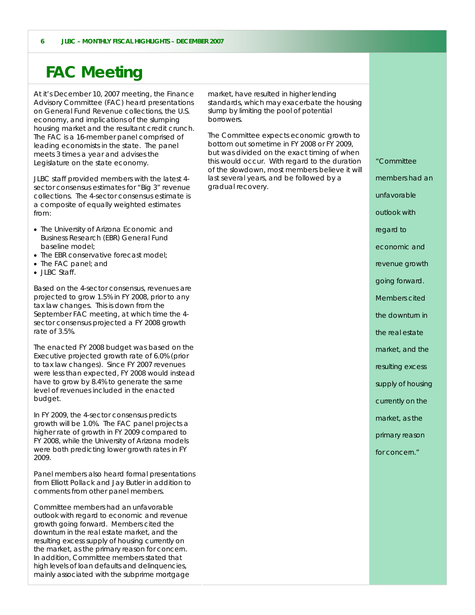### **FAC Meeting**

At it's December 10, 2007 meeting, the Finance Advisory Committee (FAC) heard presentations on General Fund Revenue collections, the U.S. economy, and implications of the slumping housing market and the resultant credit crunch. The FAC is a 16-member panel comprised of leading economists in the state. The panel meets 3 times a year and advises the Legislature on the state economy.

JLBC staff provided members with the latest 4 sector consensus estimates for "Big 3" revenue collections. The 4-sector consensus estimate is a composite of equally weighted estimates from:

- The University of Arizona Economic and Business Research (EBR) General Fund baseline model;
- The EBR conservative forecast model:
- The FAC panel; and
- JLBC Staff.

Based on the 4-sector consensus, revenues are projected to grow 1.5% in FY 2008, prior to any tax law changes. This is down from the September FAC meeting, at which time the 4 sector consensus projected a FY 2008 growth rate of 3.5%.

The enacted FY 2008 budget was based on the Executive projected growth rate of 6.0% (prior to tax law changes). Since FY 2007 revenues were less than expected, FY 2008 would instead have to grow by 8.4% to generate the same level of revenues included in the enacted budget.

In FY 2009, the 4-sector consensus predicts growth will be 1.0%. The FAC panel projects a higher rate of growth in FY 2009 compared to FY 2008, while the University of Arizona models were both predicting lower growth rates in FY 2009.

Panel members also heard formal presentations from Elliott Pollack and Jay Butler in addition to comments from other panel members.

Committee members had an unfavorable outlook with regard to economic and revenue growth going forward. Members cited the downturn in the real estate market, and the resulting excess supply of housing currently on the market, as the primary reason for concern. In addition, Committee members stated that high levels of loan defaults and delinquencies, mainly associated with the subprime mortgage market, have resulted in higher lending standards, which may exacerbate the housing slump by limiting the pool of potential borrowers.

The Committee expects economic growth to bottom out sometime in FY 2008 or FY 2009, but was divided on the exact timing of when this would occur. With regard to the duration of the slowdown, most members believe it will last several years, and be followed by a gradual recovery.

*"Committee members had an unfavorable outlook with regard to economic and revenue growth going forward. Members cited the downturn in the real estate market, and the resulting excess supply of housing currently on the market, as the primary reason for concern."*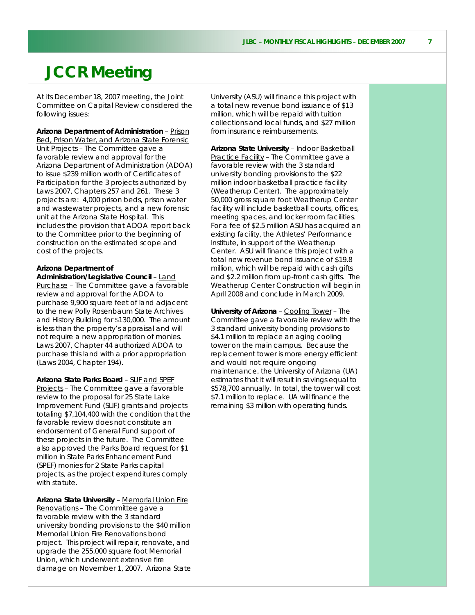### **JCCR Meeting**

At its December 18, 2007 meeting, the Joint Committee on Capital Review considered the following issues:

**Arizona Department of Administration** – Prison Bed, Prison Water, and Arizona State Forensic Unit Projects - The Committee gave a favorable review and approval for the Arizona Department of Administration (ADOA) to issue \$239 million worth of Certificates of Participation for the 3 projects authorized by Laws 2007, Chapters 257 and 261. These 3 projects are: 4,000 prison beds, prison water and wastewater projects, and a new forensic unit at the Arizona State Hospital. This includes the provision that ADOA report back to the Committee prior to the beginning of construction on the estimated scope and cost of the projects.

#### **Arizona Department of**

**Administration/Legislative Council** – Land Purchase – The Committee gave a favorable review and approval for the ADOA to purchase 9,900 square feet of land adjacent to the new Polly Rosenbaum State Archives and History Building for \$130,000. The amount is less than the property's appraisal and will not require a new appropriation of monies. Laws 2007, Chapter 44 authorized ADOA to purchase this land with a prior appropriation (Laws 2004, Chapter 194).

**Arizona State Parks Board** – SLIF and SPEF Projects - The Committee gave a favorable review to the proposal for 25 State Lake Improvement Fund (SLIF) grants and projects totaling \$7,104,400 with the condition that the favorable review does not constitute an endorsement of General Fund support of these projects in the future. The Committee also approved the Parks Board request for \$1 million in State Parks Enhancement Fund (SPEF) monies for 2 State Parks capital projects, as the project expenditures comply with statute.

**Arizona State University** – Memorial Union Fire Renovations – The Committee gave a favorable review with the 3 standard university bonding provisions to the \$40 million Memorial Union Fire Renovations bond project. This project will repair, renovate, and upgrade the 255,000 square foot Memorial Union, which underwent extensive fire damage on November 1, 2007. Arizona State University (ASU) will finance this project with a total new revenue bond issuance of \$13 million, which will be repaid with tuition collections and local funds, and \$27 million from insurance reimbursements.

**Arizona State University** – Indoor Basketball Practice Facility – The Committee gave a favorable review with the 3 standard university bonding provisions to the \$22 million indoor basketball practice facility (Weatherup Center). The approximately 50,000 gross square foot Weatherup Center facility will include basketball courts, offices, meeting spaces, and locker room facilities. For a fee of \$2.5 million ASU has acquired an existing facility, the Athletes' Performance Institute, in support of the Weatherup Center. ASU will finance this project with a total new revenue bond issuance of \$19.8 million, which will be repaid with cash gifts and \$2.2 million from up-front cash gifts. The Weatherup Center Construction will begin in April 2008 and conclude in March 2009.

**University of Arizona** – Cooling Tower – The Committee gave a favorable review with the 3 standard university bonding provisions to \$4.1 million to replace an aging cooling tower on the main campus. Because the replacement tower is more energy efficient and would not require ongoing maintenance, the University of Arizona (UA) estimates that it will result in savings equal to \$578,700 annually. In total, the tower will cost \$7.1 million to replace. UA will finance the remaining \$3 million with operating funds.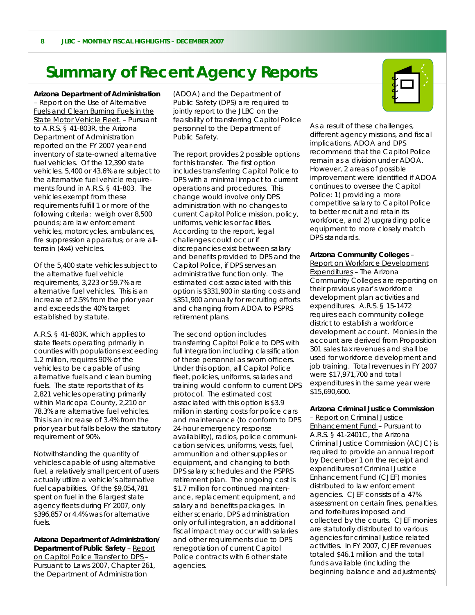# **Summary of Recent Agency Reports**<br>Arizona Department of Administration (ADOA) and the Department of

– Report on the Use of Alternative Fuels and Clean Burning Fuels in the State Motor Vehicle Fleet. – Pursuant to A.R.S. § 41-803R, the Arizona Department of Administration reported on the FY 2007 year-end inventory of state-owned alternative fuel vehicles. Of the 12,390 state vehicles, 5,400 or 43.6% are subject to the alternative fuel vehicle requirements found in A.R.S. § 41-803. The vehicles exempt from these requirements fulfill 1 or more of the following criteria: weigh over 8,500 pounds; are law enforcement vehicles, motorcycles, ambulances, fire suppression apparatus; or are allterrain (4x4) vehicles.

Of the 5,400 state vehicles subject to the alternative fuel vehicle requirements, 3,223 or 59.7% are alternative fuel vehicles. This is an increase of 2.5% from the prior year and exceeds the 40% target established by statute.

A.R.S. § 41-803K, which applies to state fleets operating primarily in counties with populations exceeding 1.2 million, requires 90% of the vehicles to be capable of using alternative fuels and clean burning fuels. The state reports that of its 2,821 vehicles operating primarily within Maricopa County, 2,210 or 78.3% are alternative fuel vehicles. This is an increase of 3.4% from the prior year but falls below the statutory requirement of 90%.

Notwithstanding the quantity of vehicles capable of using alternative fuel, a relatively small percent of users actually utilize a vehicle's alternative fuel capabilities. Of the \$9,054,781 spent on fuel in the 6 largest state agency fleets during FY 2007, only \$396,857 or 4.4% was for alternative fuels.

**Arizona Department of Administration/ Department of Public Safety** – Report on Capitol Police Transfer to DPS – Pursuant to Laws 2007, Chapter 261, the Department of Administration

(ADOA) and the Department of Public Safety (DPS) are required to jointly report to the JLBC on the feasibility of transferring Capitol Police personnel to the Department of Public Safety.

The report provides 2 possible options for this transfer. The first option includes transferring Capitol Police to DPS with a minimal impact to current operations and procedures. This change would involve only DPS administration with no changes to current Capitol Police mission, policy, uniforms, vehicles or facilities. According to the report, legal challenges could occur if discrepancies exist between salary and benefits provided to DPS and the Capitol Police, if DPS serves an administrative function only. The estimated cost associated with this option is \$331,900 in starting costs and \$351,900 annually for recruiting efforts and changing from ADOA to PSPRS retirement plans.

The second option includes transferring Capitol Police to DPS with full integration including classification of these personnel as sworn officers. Under this option, all Capitol Police fleet, policies, uniforms, salaries and training would conform to current DPS protocol. The estimated cost associated with this option is \$3.9 million in starting costs for police cars and maintenance (to conform to DPS 24-hour emergency response availability), radios, police communication services, uniforms, vests, fuel, ammunition and other supplies or equipment, and changing to both DPS salary schedules and the PSPRS retirement plan. The ongoing cost is \$1.7 million for continued maintenance, replacement equipment, and salary and benefits packages. In either scenario, DPS administration only or full integration, an additional fiscal impact may occur with salaries and other requirements due to DPS renegotiation of current Capitol Police contracts with 6 other state agencies.



As a result of these challenges, different agency missions, and fiscal implications, ADOA and DPS recommend that the Capitol Police remain as a division under ADOA. However, 2 areas of possible improvement were identified if ADOA continues to oversee the Capitol Police: 1) providing a more competitive salary to Capitol Police to better recruit and retain its workforce, and 2) upgrading police equipment to more closely match DPS standards.

#### **Arizona Community Colleges** –

Report on Workforce Development Expenditures – The Arizona Community Colleges are reporting on their previous year's workforce development plan activities and expenditures. A.R.S. § 15-1472 requires each community college district to establish a workforce development account. Monies in the account are derived from Proposition 301 sales tax revenues and shall be used for workforce development and job training. Total revenues in FY 2007 were \$17,971,700 and total expenditures in the same year were \$15,690,600.

### **Arizona Criminal Justice Commission**

– Report on Criminal Justice Enhancement Fund – Pursuant to A.R.S. § 41-2401C, the Arizona Criminal Justice Commission (ACJC) is required to provide an annual report by December 1 on the receipt and expenditures of Criminal Justice Enhancement Fund (CJEF) monies distributed to law enforcement agencies. CJEF consists of a 47% assessment on certain fines, penalties, and forfeitures imposed and collected by the courts. CJEF monies are statutorily distributed to various agencies for criminal justice related activities. In FY 2007, CJEF revenues totaled \$46.1 million and the total funds available (including the beginning balance and adjustments)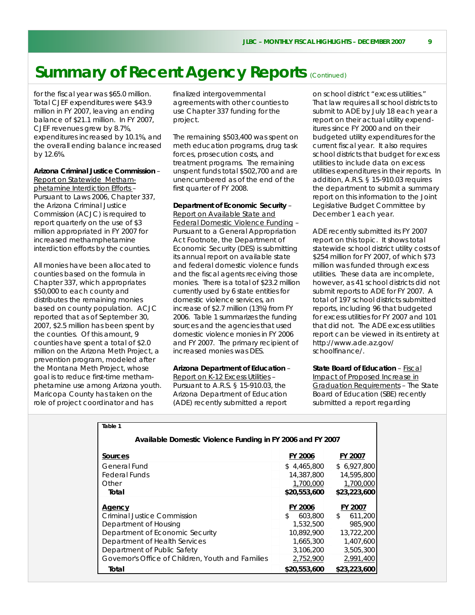for the fiscal year was \$65.0 million. Total CJEF expenditures were \$43.9 million in FY 2007, leaving an ending balance of \$21.1 million. In FY 2007, CJEF revenues grew by 8.7%, expenditures increased by 10.1%, and the overall ending balance increased by 12.6%.

#### **Arizona Criminal Justice Commission** –

Report on Statewide Methamphetamine Interdiction Efforts – Pursuant to Laws 2006, Chapter 337, the Arizona Criminal Justice Commission (ACJC) is required to report quarterly on the use of \$3 million appropriated in FY 2007 for increased methamphetamine interdiction efforts by the counties.

All monies have been allocated to counties based on the formula in Chapter 337, which appropriates \$50,000 to each county and distributes the remaining monies based on county population. ACJC reported that as of September 30, 2007, \$2.5 million has been spent by the counties. Of this amount, 9 counties have spent a total of \$2.0 million on the Arizona Meth Project, a prevention program, modeled after the Montana Meth Project, whose goal is to reduce first-time methamphetamine use among Arizona youth. Maricopa County has taken on the role of project coordinator and has

finalized intergovernmental agreements with other counties to use Chapter 337 funding for the project.

The remaining \$503,400 was spent on meth education programs, drug task forces, prosecution costs, and treatment programs. The remaining unspent funds total \$502,700 and are unencumbered as of the end of the first quarter of FY 2008.

### **Department of Economic Security** –

Report on Available State and Federal Domestic Violence Funding – Pursuant to a General Appropriation Act Footnote, the Department of Economic Security (DES) is submitting its annual report on available state and federal domestic violence funds and the fiscal agents receiving those monies. There is a total of \$23.2 million currently used by 6 state entities for domestic violence services, an increase of \$2.7 million (13%) from FY 2006. Table 1 summarizes the funding sources and the agencies that used domestic violence monies in FY 2006 and FY 2007. The primary recipient of increased monies was DES.

#### **Arizona Department of Education** –

Report on K-12 Excess Utilities – Pursuant to A.R.S. § 15-910.03, the Arizona Department of Education (ADE) recently submitted a report

on school district "excess utilities." That law requires all school districts to submit to ADE by July 18 each year a report on their actual utility expenditures since FY 2000 and on their budgeted utility expenditures for the current fiscal year. It also requires school districts that budget for excess utilities to include data on excess utilities expenditures in their reports. In addition, A.R.S. § 15-910.03 requires the department to submit a summary report on this information to the Joint Legislative Budget Committee by December 1 each year.

ADE recently submitted its FY 2007 report on this topic. It shows total statewide school district utility costs of \$254 million for FY 2007, of which \$73 million was funded through excess utilities. These data are incomplete, however, as 41 school districts did not submit reports to ADE for FY 2007. A total of 197 school districts submitted reports, including 96 that budgeted for excess utilities for FY 2007 and 101 that did not. The ADE excess utilities report can be viewed in its entirety at http://www.ade.az.gov/ schoolfinance/.

**State Board of Education** – Fiscal Impact of Proposed Increase in Graduation Requirements – The State Board of Education (SBE) recently submitted a report regarding

| Table 1                                                    |                |                         |
|------------------------------------------------------------|----------------|-------------------------|
| Available Domestic Violence Funding in FY 2006 and FY 2007 |                |                         |
| <b>Sources</b>                                             | <b>FY 2006</b> | FY 2007                 |
| General Fund                                               | \$4,465,800    | \$6,927,800             |
| <b>Federal Funds</b>                                       | 14,387,800     | 14,595,800              |
| Other                                                      | 1,700,000      | 1,700,000               |
| Total                                                      | \$20,553,600   | \$23,223,600            |
| Agency                                                     | FY 2006        | FY 2007                 |
| Criminal Justice Commission                                | 603,800<br>S.  | 611,200<br>$\mathbb{S}$ |
| Department of Housing                                      | 1,532,500      | 985,900                 |
| Department of Economic Security                            | 10.892.900     | 13,722,200              |
| Department of Health Services                              | 1,665,300      | 1,407,600               |
| Department of Public Safety                                | 3,106,200      | 3,505,300               |
| Governor's Office of Children, Youth and Families          | 2,752,900      | 2,991,400               |
| Total                                                      | \$20,553,600   | \$23,223,600            |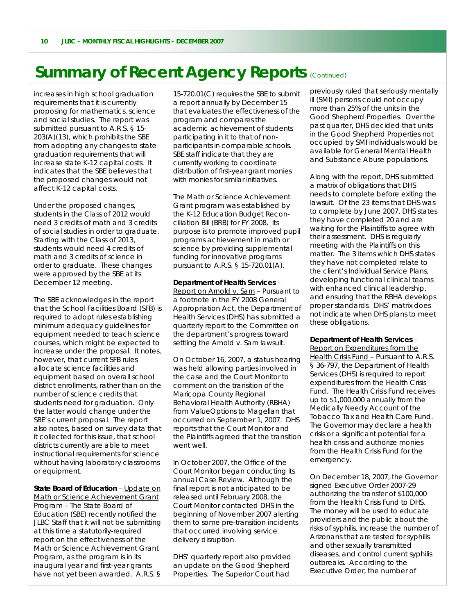increases in high school graduation requirements that it is currently proposing for mathematics, science and social studies. The report was submitted pursuant to A.R.S. § 15- 203(A)(13), which prohibits the SBE from adopting any changes to state graduation requirements that will increase state K-12 capital costs. It indicates that the SBE believes that the proposed changes would not affect K-12 capital costs.

Under the proposed changes, students in the Class of 2012 would need 3 credits of math and 3 credits of social studies in order to graduate. Starting with the Class of 2013, students would need 4 credits of math and 3 credits of science in order to graduate. These changes were approved by the SBE at its December 12 meeting.

The SBE acknowledges in the report that the School Facilities Board (SFB) is required to adopt rules establishing minimum adequacy guidelines for equipment needed to teach science courses, which might be expected to increase under the proposal. It notes, however, that current SFB rules allocate science facilities and equipment based on overall school district enrollments, rather than on the number of science credits that students need for graduation. Only the latter would change under the SBE's current proposal. The report also notes, based on survey data that it collected for this issue, that school districts currently are able to meet instructional requirements for science without having laboratory classrooms or equipment.

**State Board of Education** – Update on Math or Science Achievement Grant Program – The State Board of Education (SBE) recently notified the JLBC Staff that it will not be submitting at this time a statutorily-required report on the effectiveness of the Math or Science Achievement Grant Program, as the program is in its inaugural year and first-year grants have not yet been awarded. A.R.S. §

15-720.01(C) requires the SBE to submit a report annually by December 15 that evaluates the effectiveness of the program and compares the academic achievement of students participating in it to that of nonparticipants in comparable schools. SBE staff indicate that they are currently working to coordinate distribution of first-year grant monies with monies for similar initiatives.

The Math or Science Achievement Grant program was established by the K-12 Education Budget Reconciliation Bill (BRB) for FY 2008. Its purpose is to promote improved pupil programs achievement in math or science by providing supplemental funding for innovative programs pursuant to A.R.S. § 15-720.01(A).

**Department of Health Services** – Report on *Arnold v. Sarn* – Pursuant to a footnote in the FY 2008 General Appropriation Act, the Department of Health Services (DHS) has submitted a quarterly report to the Committee on the department's progress toward settling the *Arnold v. Sarn* lawsuit.

On October 16, 2007, a status hearing was held allowing parties involved in the case and the Court Monitor to comment on the transition of the Maricopa County Regional Behavioral Health Authority (RBHA) from ValueOptions to Magellan that occurred on September 1, 2007. DHS reports that the Court Monitor and the Plaintiffs agreed that the transition went well.

In October 2007, the Office of the Court Monitor began conducting its annual Case Review. Although the final report is not anticipated to be released until February 2008, the Court Monitor contacted DHS in the beginning of November 2007 alerting them to some pre-transition incidents that occurred involving service delivery disruption.

DHS' quarterly report also provided an update on the Good Shepherd Properties. The Superior Court had

previously ruled that seriously mentally ill (SMI) persons could not occupy more than 25% of the units in the Good Shepherd Properties. Over the past quarter, DHS decided that units in the Good Shepherd Properties not occupied by SMI individuals would be available for General Mental Health and Substance Abuse populations.

Along with the report, DHS submitted a matrix of obligations that DHS needs to complete before exiting the lawsuit. Of the 23 items that DHS was to complete by June 2007, DHS states they have completed 20 and are waiting for the Plaintiffs to agree with their assessment. DHS is regularly meeting with the Plaintiffs on this matter. The 3 items which DHS states they have not completed relate to the client's Individual Service Plans, developing functional clinical teams with enhanced clinical leadership, and ensuring that the RBHA develops proper standards. DHS' matrix does not indicate when DHS plans to meet these obligations.

#### **Department of Health Services** –

Report on Expenditures from the Health Crisis Fund – Pursuant to A.R.S. § 36-797, the Department of Health Services (DHS) is required to report expenditures from the Health Crisis Fund. The Health Crisis Fund receives up to \$1,000,000 annually from the Medically Needy Account of the Tobacco Tax and Health Care Fund. The Governor may declare a health crisis or a significant potential for a health crisis and authorize monies from the Health Crisis Fund for the emergency.

On December 18, 2007, the Governor signed Executive Order 2007-29 authorizing the transfer of \$100,000 from the Health Crisis Fund to DHS. The money will be used to educate providers and the public about the risks of syphilis, increase the number of Arizonans that are tested for syphilis and other sexually transmitted diseases, and control current syphilis outbreaks. According to the Executive Order, the number of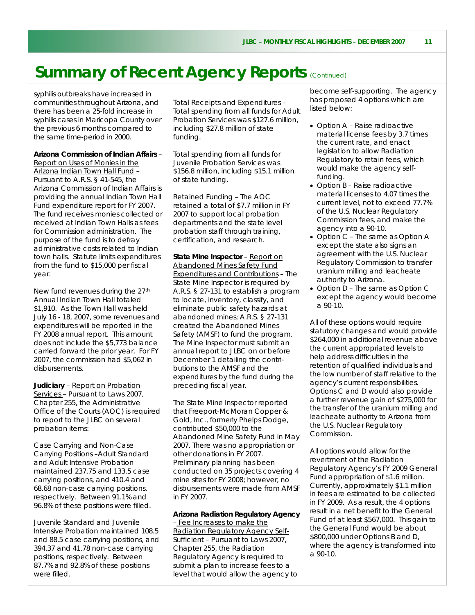syphilis outbreaks have increased in communities throughout Arizona, and there has been a 25-fold increase in syphilis cases in Maricopa County over the previous 6 months compared to the same time-period in 2000.

**Arizona Commission of Indian Affairs** –

Report on Uses of Monies in the Arizona Indian Town Hall Fund – Pursuant to A.R.S. § 41-545, the Arizona Commission of Indian Affairs is providing the annual Indian Town Hall Fund expenditure report for FY 2007. The fund receives monies collected or received at Indian Town Halls as fees for Commission administration. The purpose of the fund is to defray administrative costs related to Indian town halls. Statute limits expenditures from the fund to \$15,000 per fiscal year.

New fund revenues during the 27<sup>th</sup> Annual Indian Town Hall totaled \$1,910. As the Town Hall was held July 16 - 18, 2007, some revenues and expenditures will be reported in the FY 2008 annual report. This amount does not include the \$5,773 balance carried forward the prior year. For FY 2007, the commission had \$5,062 in disbursements.

**Judiciary** – Report on Probation Services – Pursuant to Laws 2007, Chapter 255, the Administrative Office of the Courts (AOC) is required to report to the JLBC on several probation items:

*Case Carrying and Non-Case Carrying Positions* –Adult Standard and Adult Intensive Probation maintained 237.75 and 133.5 case carrying positions, and 410.4 and 68.68 non-case carrying positions, respectively. Between 91.1% and 96.8% of these positions were filled.

Juvenile Standard and Juvenile Intensive Probation maintained 108.5 and 88.5 case carrying positions, and 394.37 and 41.78 non-case carrying positions, respectively. Between 87.7% and 92.8% of these positions were filled.

*Total Receipts and Expenditures* – Total spending from all funds for Adult Probation Services was \$127.6 million, including \$27.8 million of state funding.

Total spending from all funds for Juvenile Probation Services was \$156.8 million, including \$15.1 million of state funding.

*Retained Funding* – The AOC retained a total of \$7.7 million in FY 2007 to support local probation departments and the state level probation staff through training, certification, and research.

**State Mine Inspector** – Report on Abandoned Mines Safety Fund Expenditures and Contributions – The State Mine Inspector is required by A.R.S. § 27-131 to establish a program to locate, inventory, classify, and eliminate public safety hazards at abandoned mines; A.R.S. § 27-131 created the Abandoned Mines Safety (AMSF) to fund the program. The Mine Inspector must submit an annual report to JLBC on or before December 1 detailing the contributions to the AMSF and the expenditures by the fund during the preceding fiscal year.

The State Mine Inspector reported that Freeport-McMoran Copper & Gold, Inc., formerly Phelps Dodge, contributed \$50,000 to the Abandoned Mine Safety Fund in May 2007. There was no appropriation or other donations in FY 2007. Preliminary planning has been conducted on 35 projects covering 4 mine sites for FY 2008; however, no disbursements were made from AMSF in FY 2007.

#### **Arizona Radiation Regulatory Agency**

– Fee Increases to make the Radiation Regulatory Agency Self-Sufficient - Pursuant to Laws 2007, Chapter 255, the Radiation Regulatory Agency is required to submit a plan to increase fees to a level that would allow the agency to become self-supporting. The agency has proposed 4 options which are listed below:

- Option A Raise radioactive material license fees by 3.7 times the current rate, and enact legislation to allow Radiation Regulatory to retain fees, which would make the agency selffunding.
- Option B Raise radioactive material licenses to 4.07 times the current level, not to exceed 77.7% of the U.S. Nuclear Regulatory Commission fees, and make the agency into a 90-10.
- Option C The same as Option A except the state also signs an agreement with the U.S. Nuclear Regulatory Commission to transfer uranium milling and leacheate authority to Arizona.
- Option D The same as Option C except the agency would become a 90-10.

All of these options would require statutory changes and would provide \$264,000 in additional revenue above the current appropriated levels to help address difficulties in the retention of qualified individuals and the low number of staff relative to the agency's current responsibilities. Options C and D would also provide a further revenue gain of \$275,000 for the transfer of the uranium milling and leacheate authority to Arizona from the U.S. Nuclear Regulatory Commission.

All options would allow for the revertment of the Radiation Regulatory Agency's FY 2009 General Fund appropriation of \$1.6 million. Currently, approximately \$1.1 million in fees are estimated to be collected in FY 2009. As a result, the 4 options result in a net benefit to the General Fund of at least \$567,000. This gain to the General Fund would be about \$800,000 under Options B and D, where the agency is transformed into a 90-10.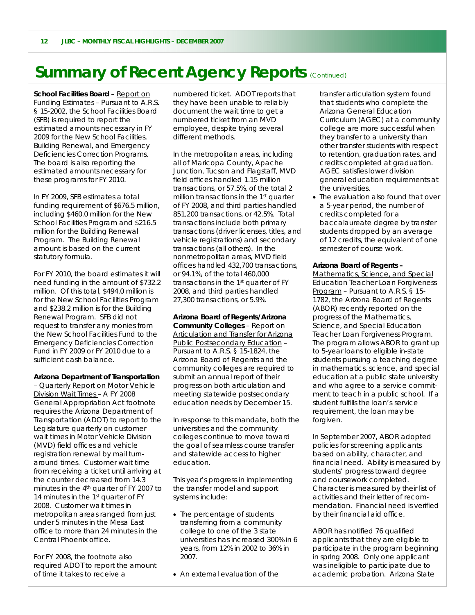**School Facilities Board** – Report on Funding Estimates – Pursuant to A.R.S. § 15-2002, the School Facilities Board (SFB) is required to report the estimated amounts necessary in FY 2009 for the New School Facilities, Building Renewal, and Emergency Deficiencies Correction Programs. The board is also reporting the estimated amounts necessary for these programs for FY 2010.

In FY 2009, SFB estimates a total funding requirement of \$676.5 million, including \$460.0 million for the New School Facilities Program and \$216.5 million for the Building Renewal Program. The Building Renewal amount is based on the current statutory formula.

For FY 2010, the board estimates it will need funding in the amount of \$732.2 million. Of this total, \$494.0 million is for the New School Facilities Program and \$238.2 million is for the Building Renewal Program. SFB did not request to transfer any monies from the New School Facilities Fund to the Emergency Deficiencies Correction Fund in FY 2009 or FY 2010 due to a sufficient cash balance.

#### **Arizona Department of Transportation**

– Quarterly Report on Motor Vehicle Division Wait Times – A FY 2008 General Appropriation Act footnote requires the Arizona Department of Transportation (ADOT) to report to the Legislature quarterly on customer wait times in Motor Vehicle Division (MVD) field offices and vehicle registration renewal by mail turnaround times. Customer wait time from receiving a ticket until arriving at the counter decreased from 14.3 minutes in the 4<sup>th</sup> quarter of FY 2007 to 14 minutes in the 1<sup>st</sup> quarter of FY 2008. Customer wait times in metropolitan areas ranged from just under 5 minutes in the Mesa East office to more than 24 minutes in the Central Phoenix office.

For FY 2008, the footnote also required ADOT to report the amount of time it takes to receive a

numbered ticket. ADOT reports that they have been unable to reliably document the wait time to get a numbered ticket from an MVD employee, despite trying several different methods.

In the metropolitan areas, including all of Maricopa County, Apache Junction, Tucson and Flagstaff, MVD field offices handled 1.15 million transactions, or 57.5%, of the total 2 million transactions in the 1st quarter of FY 2008, and third parties handled 851,200 transactions, or 42.5%. Total transactions include both primary transactions (driver licenses, titles, and vehicle registrations) and secondary transactions (all others). In the nonmetropolitan areas, MVD field offices handled 432,700 transactions, or 94.1%, of the total 460,000 transactions in the 1st quarter of FY 2008, and third parties handled 27,300 transactions, or 5.9%.

**Arizona Board of Regents/Arizona Community Colleges** – Report on Articulation and Transfer for Arizona Public Postsecondary Education – Pursuant to A.R.S. § 15-1824, the Arizona Board of Regents and the community colleges are required to submit an annual report of their progress on both articulation and meeting statewide postsecondary education needs by December 15.

In response to this mandate, both the universities and the community colleges continue to move toward the goal of seamless course transfer and statewide access to higher education.

This year's progress in implementing the transfer model and support systems include:

- The percentage of students transferring from a community college to one of the 3 state universities has increased 300% in 6 years, from 12% in 2002 to 36% in 2007.
- An external evaluation of the

transfer articulation system found that students who complete the Arizona General Education Curriculum (AGEC) at a community college are more successful when they transfer to a university than other transfer students with respect to retention, graduation rates, and credits completed at graduation. AGEC satisfies lower division general education requirements at the universities.

• The evaluation also found that over a 5-year period, the number of credits completed for a baccalaureate degree by transfer students dropped by an average of 12 credits, the equivalent of one semester of course work.

#### **Arizona Board of Regents –**

Mathematics, Science, and Special Education Teacher Loan Forgiveness Program – Pursuant to A.R.S. § 15- 1782, the Arizona Board of Regents (ABOR) recently reported on the progress of the Mathematics, Science, and Special Education Teacher Loan Forgiveness Program. The program allows ABOR to grant up to 5-year loans to eligible in-state students pursuing a teaching degree in mathematics, science, and special education at a public state university and who agree to a service commitment to teach in a public school. If a student fulfills the loan's service requirement, the loan may be forgiven.

In September 2007, ABOR adopted policies for screening applicants based on ability, character, and financial need. Ability is measured by students' progress toward degree and coursework completed. Character is measured by their list of activities and their letter of recommendation. Financial need is verified by their financial aid office.

ABOR has notified 76 qualified applicants that they are eligible to participate in the program beginning in spring 2008. Only one applicant was ineligible to participate due to academic probation. Arizona State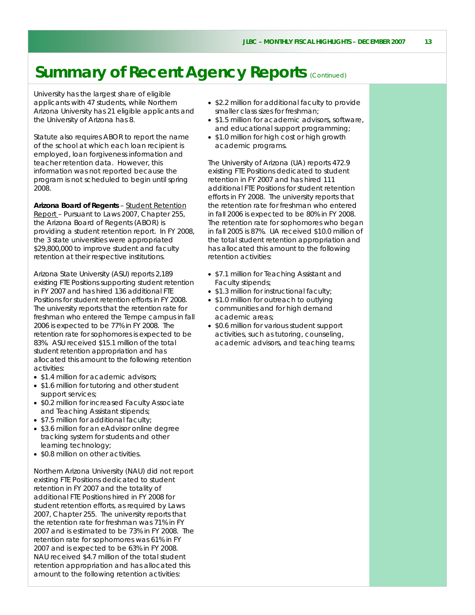University has the largest share of eligible applicants with 47 students, while Northern Arizona University has 21 eligible applicants and the University of Arizona has 8.

Statute also requires ABOR to report the name of the school at which each loan recipient is employed, loan forgiveness information and teacher retention data. However, this information was not reported because the program is not scheduled to begin until spring 2008.

**Arizona Board of Regents** – Student Retention Report – Pursuant to Laws 2007, Chapter 255, the Arizona Board of Regents (ABOR) is providing a student retention report. In FY 2008, the 3 state universities were appropriated \$29,800,000 to improve student and faculty retention at their respective institutions.

Arizona State University (ASU) reports 2,189 existing FTE Positions supporting student retention in FY 2007 and has hired 136 additional FTE Positions for student retention efforts in FY 2008. The university reports that the retention rate for freshman who entered the Tempe campus in fall 2006 is expected to be 77% in FY 2008. The retention rate for sophomores is expected to be 83%. ASU received \$15.1 million of the total student retention appropriation and has allocated this amount to the following retention activities:

- \$1.4 million for academic advisors;
- \$1.6 million for tutoring and other student support services;
- \$0.2 million for increased Faculty Associate and Teaching Assistant stipends;
- \$7.5 million for additional faculty;
- \$3.6 million for an eAdvisor online degree tracking system for students and other learning technology;
- \$0.8 million on other activities.

Northern Arizona University (NAU) did not report existing FTE Positions dedicated to student retention in FY 2007 and the totality of additional FTE Positions hired in FY 2008 for student retention efforts, as required by Laws 2007, Chapter 255. The university reports that the retention rate for freshman was 71% in FY 2007 and is estimated to be 73% in FY 2008. The retention rate for sophomores was 61% in FY 2007 and is expected to be 63% in FY 2008. NAU received \$4.7 million of the total student retention appropriation and has allocated this amount to the following retention activities:

- \$2.2 million for additional faculty to provide smaller class sizes for freshman;
- \$1.5 million for academic advisors, software, and educational support programming;
- \$1.0 million for high cost or high growth academic programs.

The University of Arizona (UA) reports 472.9 existing FTE Positions dedicated to student retention in FY 2007 and has hired 111 additional FTE Positions for student retention efforts in FY 2008. The university reports that the retention rate for freshman who entered in fall 2006 is expected to be 80% in FY 2008. The retention rate for sophomores who began in fall 2005 is 87%. UA received \$10.0 million of the total student retention appropriation and has allocated this amount to the following retention activities:

- \$7.1 million for Teaching Assistant and Faculty stipends;
- \$1.3 million for instructional faculty;
- \$1.0 million for outreach to outlying communities and for high demand academic areas;
- \$0.6 million for various student support activities, such as tutoring, counseling, academic advisors, and teaching teams;